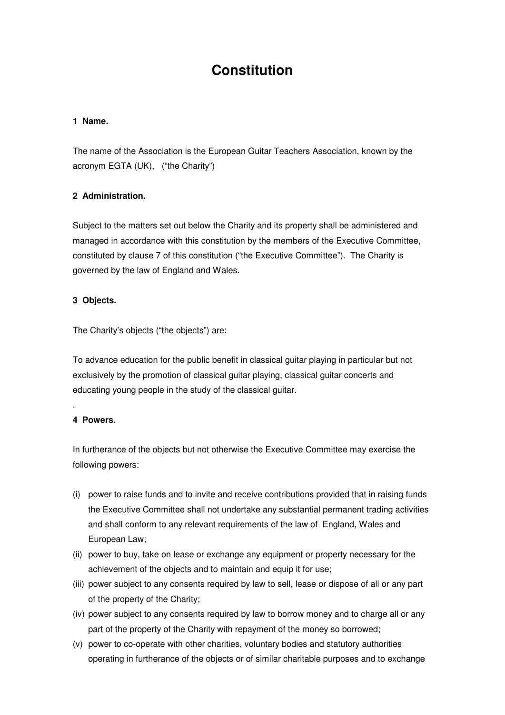# **Constitution**

#### **1 Name.**

The name of the Association is the European Guitar Teachers Association, known by the acronym EGTA (UK), ("the Charity")

# **2 Administration.**

Subject to the matters set out below the Charity and its property shall be administered and managed in accordance with this constitution by the members of the Executive Committee, constituted by clause 7 of this constitution ("the Executive Committee"). The Charity is governed by the law of England and Wales.

#### **3 Objects.**

The Charity's objects ("the objects") are:

To advance education for the public benefit in classical guitar playing in particular but not exclusively by the promotion of classical guitar playing, classical guitar concerts and educating young people in the study of the classical guitar.

# **4 Powers.**

.

In furtherance of the objects but not otherwise the Executive Committee may exercise the following powers:

- (i) power to raise funds and to invite and receive contributions provided that in raising funds the Executive Committee shall not undertake any substantial permanent trading activities and shall conform to any relevant requirements of the law of England, Wales and European Law;
- (ii) power to buy, take on lease or exchange any equipment or property necessary for the achievement of the objects and to maintain and equip it for use;
- (iii) power subject to any consents required by law to sell, lease or dispose of all or any part of the property of the Charity;
- (iv) power subject to any consents required by law to borrow money and to charge all or any part of the property of the Charity with repayment of the money so borrowed;
- (v) power to co-operate with other charities, voluntary bodies and statutory authorities operating in furtherance of the objects or of similar charitable purposes and to exchange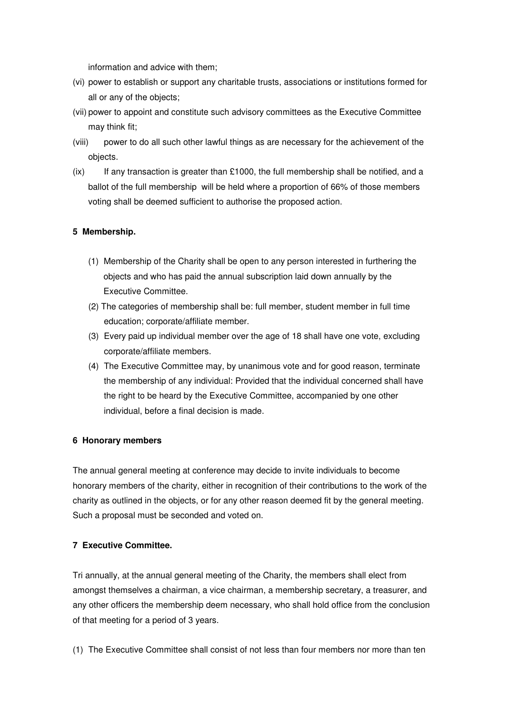information and advice with them;

- (vi) power to establish or support any charitable trusts, associations or institutions formed for all or any of the objects;
- (vii) power to appoint and constitute such advisory committees as the Executive Committee may think fit;
- (viii) power to do all such other lawful things as are necessary for the achievement of the objects.
- $(ix)$  If any transaction is greater than £1000, the full membership shall be notified, and a ballot of the full membership will be held where a proportion of 66% of those members voting shall be deemed sufficient to authorise the proposed action.

## **5 Membership.**

- (1) Membership of the Charity shall be open to any person interested in furthering the objects and who has paid the annual subscription laid down annually by the Executive Committee.
- (2) The categories of membership shall be: full member, student member in full time education; corporate/affiliate member.
- (3) Every paid up individual member over the age of 18 shall have one vote, excluding corporate/affiliate members.
- (4) The Executive Committee may, by unanimous vote and for good reason, terminate the membership of any individual: Provided that the individual concerned shall have the right to be heard by the Executive Committee, accompanied by one other individual, before a final decision is made.

#### **6 Honorary members**

The annual general meeting at conference may decide to invite individuals to become honorary members of the charity, either in recognition of their contributions to the work of the charity as outlined in the objects, or for any other reason deemed fit by the general meeting. Such a proposal must be seconded and voted on.

#### **7 Executive Committee.**

Tri annually, at the annual general meeting of the Charity, the members shall elect from amongst themselves a chairman, a vice chairman, a membership secretary, a treasurer, and any other officers the membership deem necessary, who shall hold office from the conclusion of that meeting for a period of 3 years.

(1) The Executive Committee shall consist of not less than four members nor more than ten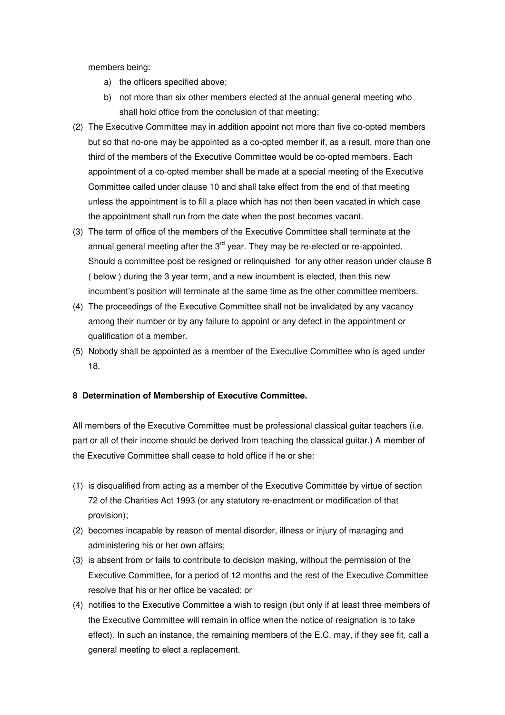members being:

- a) the officers specified above;
- b) not more than six other members elected at the annual general meeting who shall hold office from the conclusion of that meeting;
- (2) The Executive Committee may in addition appoint not more than five co-opted members but so that no-one may be appointed as a co-opted member if, as a result, more than one third of the members of the Executive Committee would be co-opted members. Each appointment of a co-opted member shall be made at a special meeting of the Executive Committee called under clause 10 and shall take effect from the end of that meeting unless the appointment is to fill a place which has not then been vacated in which case the appointment shall run from the date when the post becomes vacant.
- (3) The term of office of the members of the Executive Committee shall terminate at the annual general meeting after the  $3<sup>rd</sup>$  year. They may be re-elected or re-appointed. Should a committee post be resigned or relinquished for any other reason under clause 8 ( below ) during the 3 year term, and a new incumbent is elected, then this new incumbent's position will terminate at the same time as the other committee members.
- (4) The proceedings of the Executive Committee shall not be invalidated by any vacancy among their number or by any failure to appoint or any defect in the appointment or qualification of a member.
- (5) Nobody shall be appointed as a member of the Executive Committee who is aged under 18.

# **8 Determination of Membership of Executive Committee.**

All members of the Executive Committee must be professional classical guitar teachers (i.e. part or all of their income should be derived from teaching the classical guitar.) A member of the Executive Committee shall cease to hold office if he or she:

- (1) is disqualified from acting as a member of the Executive Committee by virtue of section 72 of the Charities Act 1993 (or any statutory re-enactment or modification of that provision);
- (2) becomes incapable by reason of mental disorder, illness or injury of managing and administering his or her own affairs;
- (3) is absent from or fails to contribute to decision making, without the permission of the Executive Committee, for a period of 12 months and the rest of the Executive Committee resolve that his or her office be vacated; or
- (4) notifies to the Executive Committee a wish to resign (but only if at least three members of the Executive Committee will remain in office when the notice of resignation is to take effect). In such an instance, the remaining members of the E.C. may, if they see fit, call a general meeting to elect a replacement.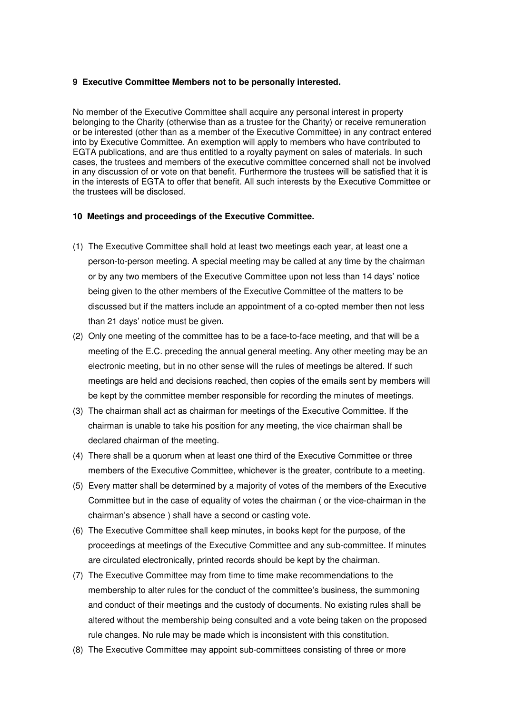#### **9 Executive Committee Members not to be personally interested.**

No member of the Executive Committee shall acquire any personal interest in property belonging to the Charity (otherwise than as a trustee for the Charity) or receive remuneration or be interested (other than as a member of the Executive Committee) in any contract entered into by Executive Committee. An exemption will apply to members who have contributed to EGTA publications, and are thus entitled to a royalty payment on sales of materials. In such cases, the trustees and members of the executive committee concerned shall not be involved in any discussion of or vote on that benefit. Furthermore the trustees will be satisfied that it is in the interests of EGTA to offer that benefit. All such interests by the Executive Committee or the trustees will be disclosed.

#### **10 Meetings and proceedings of the Executive Committee.**

- (1) The Executive Committee shall hold at least two meetings each year, at least one a person-to-person meeting. A special meeting may be called at any time by the chairman or by any two members of the Executive Committee upon not less than 14 days' notice being given to the other members of the Executive Committee of the matters to be discussed but if the matters include an appointment of a co-opted member then not less than 21 days' notice must be given.
- (2) Only one meeting of the committee has to be a face-to-face meeting, and that will be a meeting of the E.C. preceding the annual general meeting. Any other meeting may be an electronic meeting, but in no other sense will the rules of meetings be altered. If such meetings are held and decisions reached, then copies of the emails sent by members will be kept by the committee member responsible for recording the minutes of meetings.
- (3) The chairman shall act as chairman for meetings of the Executive Committee. If the chairman is unable to take his position for any meeting, the vice chairman shall be declared chairman of the meeting.
- (4) There shall be a quorum when at least one third of the Executive Committee or three members of the Executive Committee, whichever is the greater, contribute to a meeting.
- (5) Every matter shall be determined by a majority of votes of the members of the Executive Committee but in the case of equality of votes the chairman ( or the vice-chairman in the chairman's absence ) shall have a second or casting vote.
- (6) The Executive Committee shall keep minutes, in books kept for the purpose, of the proceedings at meetings of the Executive Committee and any sub-committee. If minutes are circulated electronically, printed records should be kept by the chairman.
- (7) The Executive Committee may from time to time make recommendations to the membership to alter rules for the conduct of the committee's business, the summoning and conduct of their meetings and the custody of documents. No existing rules shall be altered without the membership being consulted and a vote being taken on the proposed rule changes. No rule may be made which is inconsistent with this constitution.
- (8) The Executive Committee may appoint sub-committees consisting of three or more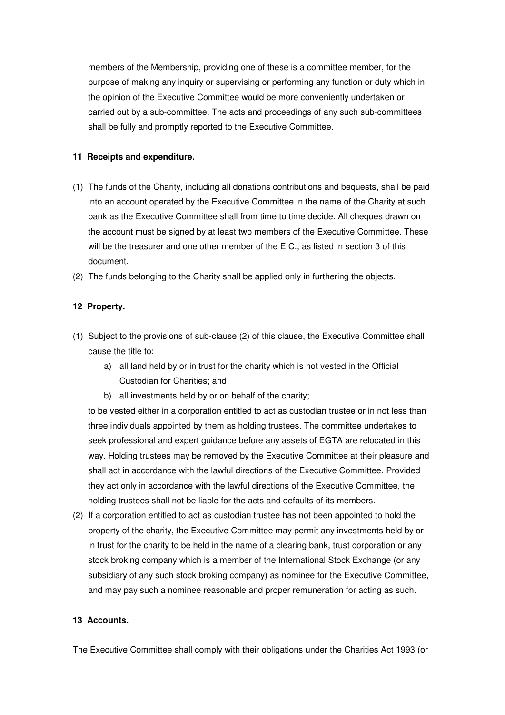members of the Membership, providing one of these is a committee member, for the purpose of making any inquiry or supervising or performing any function or duty which in the opinion of the Executive Committee would be more conveniently undertaken or carried out by a sub-committee. The acts and proceedings of any such sub-committees shall be fully and promptly reported to the Executive Committee.

#### **11 Receipts and expenditure.**

- (1) The funds of the Charity, including all donations contributions and bequests, shall be paid into an account operated by the Executive Committee in the name of the Charity at such bank as the Executive Committee shall from time to time decide. All cheques drawn on the account must be signed by at least two members of the Executive Committee. These will be the treasurer and one other member of the E.C., as listed in section 3 of this document.
- (2) The funds belonging to the Charity shall be applied only in furthering the objects.

## **12 Property.**

- (1) Subject to the provisions of sub-clause (2) of this clause, the Executive Committee shall cause the title to:
	- a) all land held by or in trust for the charity which is not vested in the Official Custodian for Charities; and
	- b) all investments held by or on behalf of the charity;

to be vested either in a corporation entitled to act as custodian trustee or in not less than three individuals appointed by them as holding trustees. The committee undertakes to seek professional and expert guidance before any assets of EGTA are relocated in this way. Holding trustees may be removed by the Executive Committee at their pleasure and shall act in accordance with the lawful directions of the Executive Committee. Provided they act only in accordance with the lawful directions of the Executive Committee, the holding trustees shall not be liable for the acts and defaults of its members.

(2) If a corporation entitled to act as custodian trustee has not been appointed to hold the property of the charity, the Executive Committee may permit any investments held by or in trust for the charity to be held in the name of a clearing bank, trust corporation or any stock broking company which is a member of the International Stock Exchange (or any subsidiary of any such stock broking company) as nominee for the Executive Committee, and may pay such a nominee reasonable and proper remuneration for acting as such.

## **13 Accounts.**

The Executive Committee shall comply with their obligations under the Charities Act 1993 (or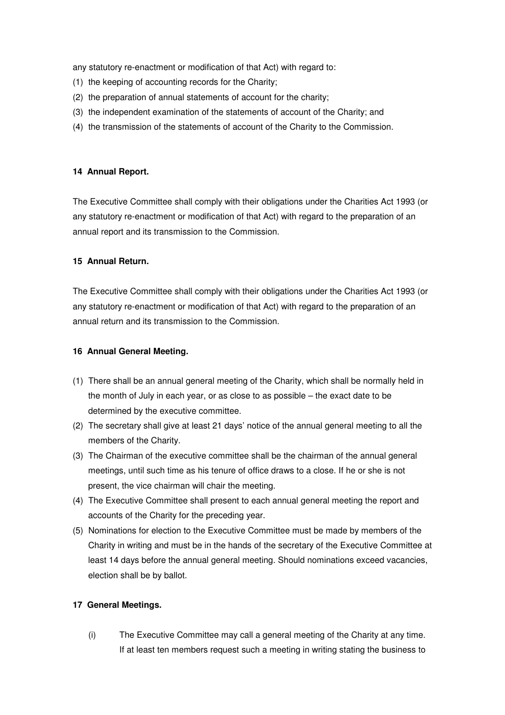any statutory re-enactment or modification of that Act) with regard to:

- (1) the keeping of accounting records for the Charity;
- (2) the preparation of annual statements of account for the charity;
- (3) the independent examination of the statements of account of the Charity; and
- (4) the transmission of the statements of account of the Charity to the Commission.

#### **14 Annual Report.**

The Executive Committee shall comply with their obligations under the Charities Act 1993 (or any statutory re-enactment or modification of that Act) with regard to the preparation of an annual report and its transmission to the Commission.

## **15 Annual Return.**

The Executive Committee shall comply with their obligations under the Charities Act 1993 (or any statutory re-enactment or modification of that Act) with regard to the preparation of an annual return and its transmission to the Commission.

## **16 Annual General Meeting.**

- (1) There shall be an annual general meeting of the Charity, which shall be normally held in the month of July in each year, or as close to as possible – the exact date to be determined by the executive committee.
- (2) The secretary shall give at least 21 days' notice of the annual general meeting to all the members of the Charity.
- (3) The Chairman of the executive committee shall be the chairman of the annual general meetings, until such time as his tenure of office draws to a close. If he or she is not present, the vice chairman will chair the meeting.
- (4) The Executive Committee shall present to each annual general meeting the report and accounts of the Charity for the preceding year.
- (5) Nominations for election to the Executive Committee must be made by members of the Charity in writing and must be in the hands of the secretary of the Executive Committee at least 14 days before the annual general meeting. Should nominations exceed vacancies, election shall be by ballot.

# **17 General Meetings.**

(i) The Executive Committee may call a general meeting of the Charity at any time. If at least ten members request such a meeting in writing stating the business to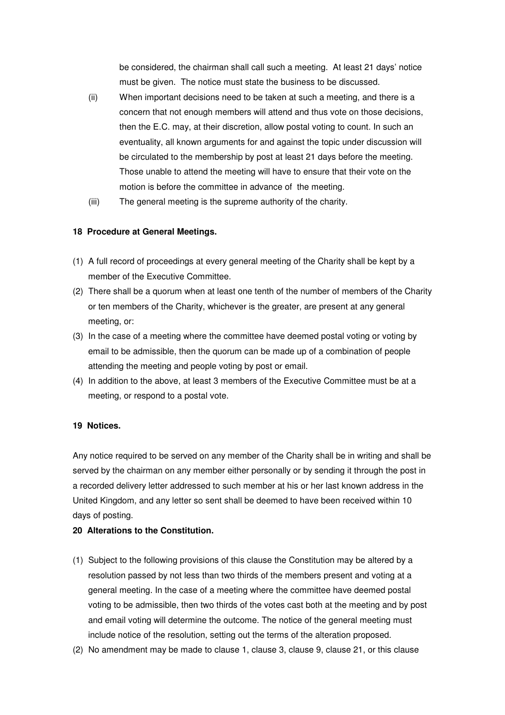be considered, the chairman shall call such a meeting. At least 21 days' notice must be given. The notice must state the business to be discussed.

- (ii) When important decisions need to be taken at such a meeting, and there is a concern that not enough members will attend and thus vote on those decisions, then the E.C. may, at their discretion, allow postal voting to count. In such an eventuality, all known arguments for and against the topic under discussion will be circulated to the membership by post at least 21 days before the meeting. Those unable to attend the meeting will have to ensure that their vote on the motion is before the committee in advance of the meeting.
- (iii) The general meeting is the supreme authority of the charity.

# **18 Procedure at General Meetings.**

- (1) A full record of proceedings at every general meeting of the Charity shall be kept by a member of the Executive Committee.
- (2) There shall be a quorum when at least one tenth of the number of members of the Charity or ten members of the Charity, whichever is the greater, are present at any general meeting, or:
- (3) In the case of a meeting where the committee have deemed postal voting or voting by email to be admissible, then the quorum can be made up of a combination of people attending the meeting and people voting by post or email.
- (4) In addition to the above, at least 3 members of the Executive Committee must be at a meeting, or respond to a postal vote.

#### **19 Notices.**

Any notice required to be served on any member of the Charity shall be in writing and shall be served by the chairman on any member either personally or by sending it through the post in a recorded delivery letter addressed to such member at his or her last known address in the United Kingdom, and any letter so sent shall be deemed to have been received within 10 days of posting.

#### **20 Alterations to the Constitution.**

- (1) Subject to the following provisions of this clause the Constitution may be altered by a resolution passed by not less than two thirds of the members present and voting at a general meeting. In the case of a meeting where the committee have deemed postal voting to be admissible, then two thirds of the votes cast both at the meeting and by post and email voting will determine the outcome. The notice of the general meeting must include notice of the resolution, setting out the terms of the alteration proposed.
- (2) No amendment may be made to clause 1, clause 3, clause 9, clause 21, or this clause